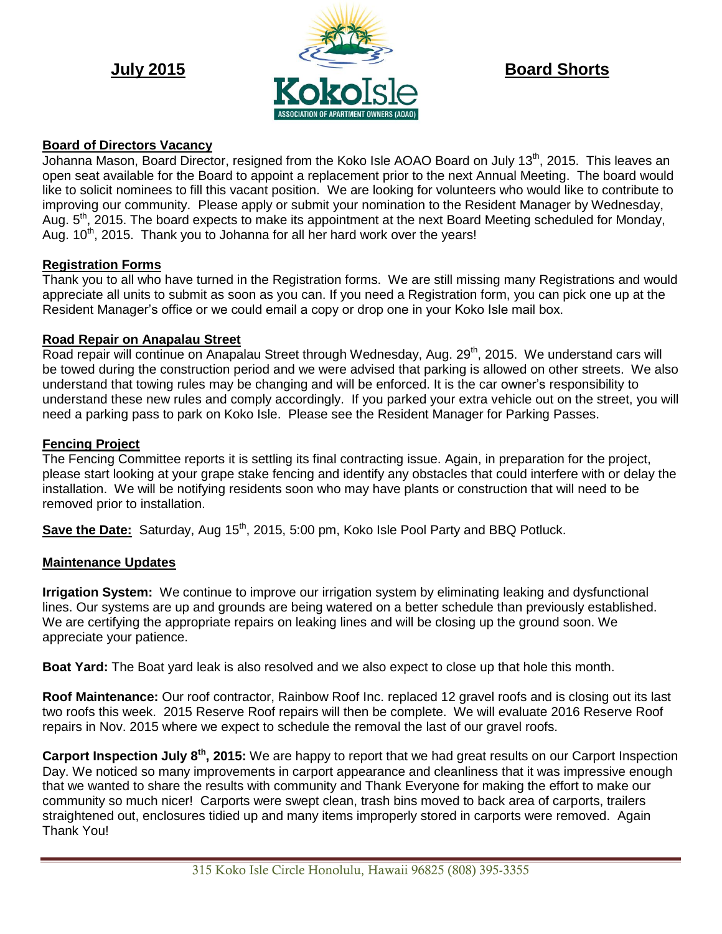

## **Board of Directors Vacancy**

Johanna Mason, Board Director, resigned from the Koko Isle AOAO Board on July 13<sup>th</sup>, 2015. This leaves an open seat available for the Board to appoint a replacement prior to the next Annual Meeting. The board would like to solicit nominees to fill this vacant position. We are looking for volunteers who would like to contribute to improving our community. Please apply or submit your nomination to the Resident Manager by Wednesday, Aug.  $5<sup>th</sup>$ , 2015. The board expects to make its appointment at the next Board Meeting scheduled for Monday, Aug.  $10<sup>th</sup>$ , 2015. Thank you to Johanna for all her hard work over the years!

### **Registration Forms**

Thank you to all who have turned in the Registration forms. We are still missing many Registrations and would appreciate all units to submit as soon as you can. If you need a Registration form, you can pick one up at the Resident Manager's office or we could email a copy or drop one in your Koko Isle mail box.

### **Road Repair on Anapalau Street**

Road repair will continue on Anapalau Street through Wednesday, Aug. 29<sup>th</sup>, 2015. We understand cars will be towed during the construction period and we were advised that parking is allowed on other streets. We also understand that towing rules may be changing and will be enforced. It is the car owner's responsibility to understand these new rules and comply accordingly. If you parked your extra vehicle out on the street, you will need a parking pass to park on Koko Isle. Please see the Resident Manager for Parking Passes.

### **Fencing Project**

The Fencing Committee reports it is settling its final contracting issue. Again, in preparation for the project, please start looking at your grape stake fencing and identify any obstacles that could interfere with or delay the installation. We will be notifying residents soon who may have plants or construction that will need to be removed prior to installation.

**Save the Date:** Saturday, Aug 15<sup>th</sup>, 2015, 5:00 pm, Koko Isle Pool Party and BBQ Potluck.

#### **Maintenance Updates**

**Irrigation System:** We continue to improve our irrigation system by eliminating leaking and dysfunctional lines. Our systems are up and grounds are being watered on a better schedule than previously established. We are certifying the appropriate repairs on leaking lines and will be closing up the ground soon. We appreciate your patience.

**Boat Yard:** The Boat yard leak is also resolved and we also expect to close up that hole this month.

**Roof Maintenance:** Our roof contractor, Rainbow Roof Inc. replaced 12 gravel roofs and is closing out its last two roofs this week. 2015 Reserve Roof repairs will then be complete. We will evaluate 2016 Reserve Roof repairs in Nov. 2015 where we expect to schedule the removal the last of our gravel roofs.

**Carport Inspection July 8th, 2015:** We are happy to report that we had great results on our Carport Inspection Day. We noticed so many improvements in carport appearance and cleanliness that it was impressive enough that we wanted to share the results with community and Thank Everyone for making the effort to make our community so much nicer! Carports were swept clean, trash bins moved to back area of carports, trailers straightened out, enclosures tidied up and many items improperly stored in carports were removed. Again Thank You!